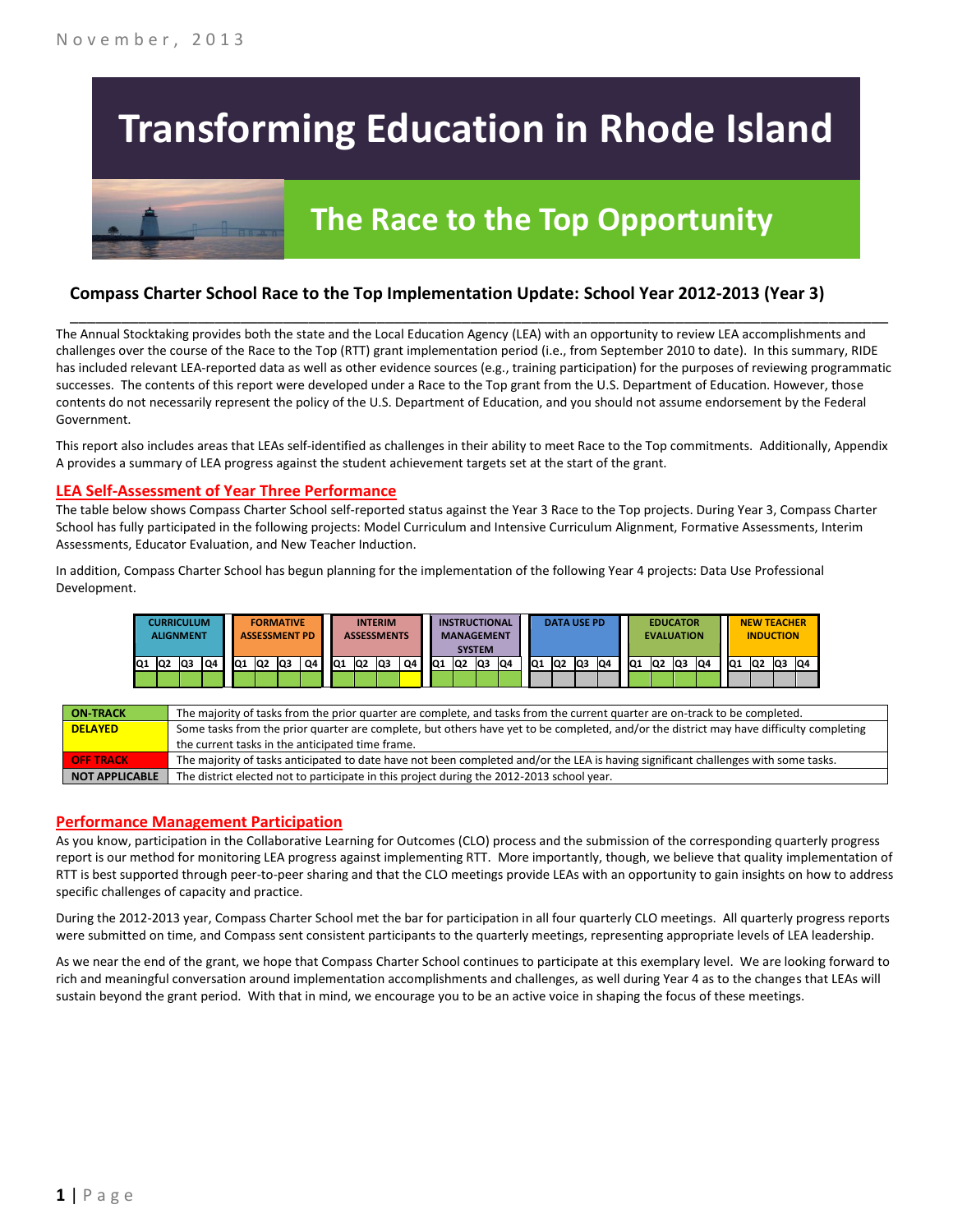# **Transforming Education in Rhode Island**



# **The Race to the Top Opportunity**

### **Compass Charter School Race to the Top Implementation Update: School Year 2012-2013 (Year 3)**

The Annual Stocktaking provides both the state and the Local Education Agency (LEA) with an opportunity to review LEA accomplishments and challenges over the course of the Race to the Top (RTT) grant implementation period (i.e., from September 2010 to date). In this summary, RIDE has included relevant LEA-reported data as well as other evidence sources (e.g., training participation) for the purposes of reviewing programmatic successes. The contents of this report were developed under a Race to the Top grant from the U.S. Department of Education. However, those contents do not necessarily represent the policy of the U.S. Department of Education, and you should not assume endorsement by the Federal Government.

\_\_\_\_\_\_\_\_\_\_\_\_\_\_\_\_\_\_\_\_\_\_\_\_\_\_\_\_\_\_\_\_\_\_\_\_\_\_\_\_\_\_\_\_\_\_\_\_\_\_\_\_\_\_\_\_\_\_\_\_\_\_\_\_\_\_\_\_\_\_\_\_\_\_\_\_\_\_\_\_\_\_\_\_\_\_\_\_\_\_\_\_\_\_\_\_

This report also includes areas that LEAs self-identified as challenges in their ability to meet Race to the Top commitments. Additionally, Appendix A provides a summary of LEA progress against the student achievement targets set at the start of the grant.

#### **LEA Self-Assessment of Year Three Performance**

The table below shows Compass Charter School self-reported status against the Year 3 Race to the Top projects. During Year 3, Compass Charter School has fully participated in the following projects: Model Curriculum and Intensive Curriculum Alignment, Formative Assessments, Interim Assessments, Educator Evaluation, and New Teacher Induction.

In addition, Compass Charter School has begun planning for the implementation of the following Year 4 projects: Data Use Professional Development.

|     | <b>CURRICULUM</b><br><b>ALIGNMENT</b> |     |    |    | <b>FORMATIVE</b><br><b>ASSESSMENT PD</b> |     |    |    |     | <b>INTERIM</b><br><b>ASSESSMENTS</b> |    |            |     | <b>INSTRUCTIONAL</b><br><b>MANAGEMENT</b><br><b>SYSTEM</b> |    |                 |                | <b>DATA USE PD</b> |    |                 | <b>EVALUATION</b> | <b>EDUCATOR</b> |    |    | <b>NEW TEACHER</b><br><b>INDUCTION</b> |     |    |
|-----|---------------------------------------|-----|----|----|------------------------------------------|-----|----|----|-----|--------------------------------------|----|------------|-----|------------------------------------------------------------|----|-----------------|----------------|--------------------|----|-----------------|-------------------|-----------------|----|----|----------------------------------------|-----|----|
| lQ1 | Q <sub>2</sub>                        | lQ3 | Q4 | Q1 | lQ <sub>2</sub>                          | lQ3 | Q4 | Q1 | IQ2 | Q3                                   | Q4 | <b>IQ1</b> | lQ2 | Q3                                                         | Q4 | IQ <sub>1</sub> | Q <sub>2</sub> | lQ3                | Q4 | IQ <sub>1</sub> | Q2                | Q3              | Q4 | Q1 | Q <sub>2</sub>                         | IQ3 | Q4 |
|     |                                       |     |    |    |                                          |     |    |    |     |                                      |    |            |     |                                                            |    |                 |                |                    |    |                 |                   |                 |    |    |                                        |     |    |

| <b>ON TRACK</b>       | The majority of tasks from the prior quarter are complete, and tasks from the current quarter are on-track to be completed.             |
|-----------------------|-----------------------------------------------------------------------------------------------------------------------------------------|
| <b>DELAYED</b>        | Some tasks from the prior quarter are complete, but others have yet to be completed, and/or the district may have difficulty completing |
|                       | the current tasks in the anticipated time frame.                                                                                        |
| <b>OFF TRACK</b>      | The majority of tasks anticipated to date have not been completed and/or the LEA is having significant challenges with some tasks.      |
| <b>NOT APPLICABLE</b> | The district elected not to participate in this project during the 2012-2013 school year.                                               |

#### **Performance Management Participation**

As you know, participation in the Collaborative Learning for Outcomes (CLO) process and the submission of the corresponding quarterly progress report is our method for monitoring LEA progress against implementing RTT. More importantly, though, we believe that quality implementation of RTT is best supported through peer-to-peer sharing and that the CLO meetings provide LEAs with an opportunity to gain insights on how to address specific challenges of capacity and practice.

During the 2012-2013 year, Compass Charter School met the bar for participation in all four quarterly CLO meetings. All quarterly progress reports were submitted on time, and Compass sent consistent participants to the quarterly meetings, representing appropriate levels of LEA leadership.

As we near the end of the grant, we hope that Compass Charter School continues to participate at this exemplary level. We are looking forward to rich and meaningful conversation around implementation accomplishments and challenges, as well during Year 4 as to the changes that LEAs will sustain beyond the grant period. With that in mind, we encourage you to be an active voice in shaping the focus of these meetings.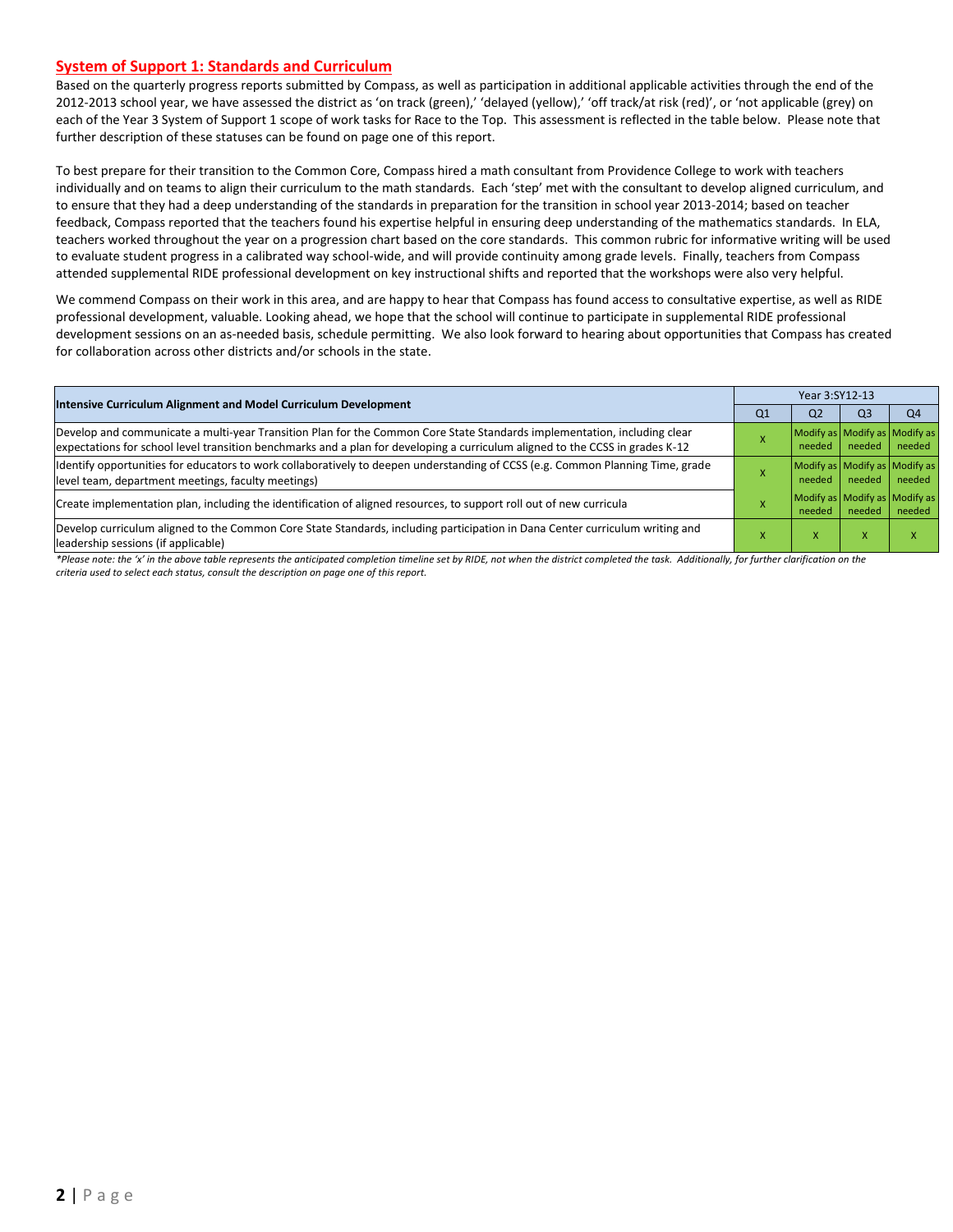#### **System of Support 1: Standards and Curriculum**

Based on the quarterly progress reports submitted by Compass, as well as participation in additional applicable activities through the end of the 2012-2013 school year, we have assessed the district as 'on track (green),' 'delayed (yellow),' 'off track/at risk (red)', or 'not applicable (grey) on each of the Year 3 System of Support 1 scope of work tasks for Race to the Top. This assessment is reflected in the table below. Please note that further description of these statuses can be found on page one of this report.

To best prepare for their transition to the Common Core, Compass hired a math consultant from Providence College to work with teachers individually and on teams to align their curriculum to the math standards. Each 'step' met with the consultant to develop aligned curriculum, and to ensure that they had a deep understanding of the standards in preparation for the transition in school year 2013-2014; based on teacher feedback, Compass reported that the teachers found his expertise helpful in ensuring deep understanding of the mathematics standards. In ELA, teachers worked throughout the year on a progression chart based on the core standards. This common rubric for informative writing will be used to evaluate student progress in a calibrated way school-wide, and will provide continuity among grade levels. Finally, teachers from Compass attended supplemental RIDE professional development on key instructional shifts and reported that the workshops were also very helpful.

We commend Compass on their work in this area, and are happy to hear that Compass has found access to consultative expertise, as well as RIDE professional development, valuable. Looking ahead, we hope that the school will continue to participate in supplemental RIDE professional development sessions on an as-needed basis, schedule permitting. We also look forward to hearing about opportunities that Compass has created for collaboration across other districts and/or schools in the state.

| Intensive Curriculum Alignment and Model Curriculum Development                                                                                                                                                                                           | Year 3:SY12-13 |                                         |                |                |  |  |
|-----------------------------------------------------------------------------------------------------------------------------------------------------------------------------------------------------------------------------------------------------------|----------------|-----------------------------------------|----------------|----------------|--|--|
|                                                                                                                                                                                                                                                           | Q <sub>1</sub> | Q <sub>2</sub>                          | Q <sub>3</sub> | Q <sub>4</sub> |  |  |
| Develop and communicate a multi-year Transition Plan for the Common Core State Standards implementation, including clear<br>expectations for school level transition benchmarks and a plan for developing a curriculum aligned to the CCSS in grades K-12 |                | Modify as Modify as Modify as<br>needed | needed         | needed         |  |  |
| Identify opportunities for educators to work collaboratively to deepen understanding of CCSS (e.g. Common Planning Time, grade<br>level team, department meetings, faculty meetings)                                                                      |                | Modify as Modify as Modify as<br>needed | needed         | needed         |  |  |
| Create implementation plan, including the identification of aligned resources, to support roll out of new curricula                                                                                                                                       |                | Modify as Modify as Modify as<br>needed | needed         | needed         |  |  |
| Develop curriculum aligned to the Common Core State Standards, including participation in Dana Center curriculum writing and<br>leadership sessions (if applicable)                                                                                       |                | X                                       | x              |                |  |  |

*\*Please note: the 'x' in the above table represents the anticipated completion timeline set by RIDE, not when the district completed the task. Additionally, for further clarification on the criteria used to select each status, consult the description on page one of this report.*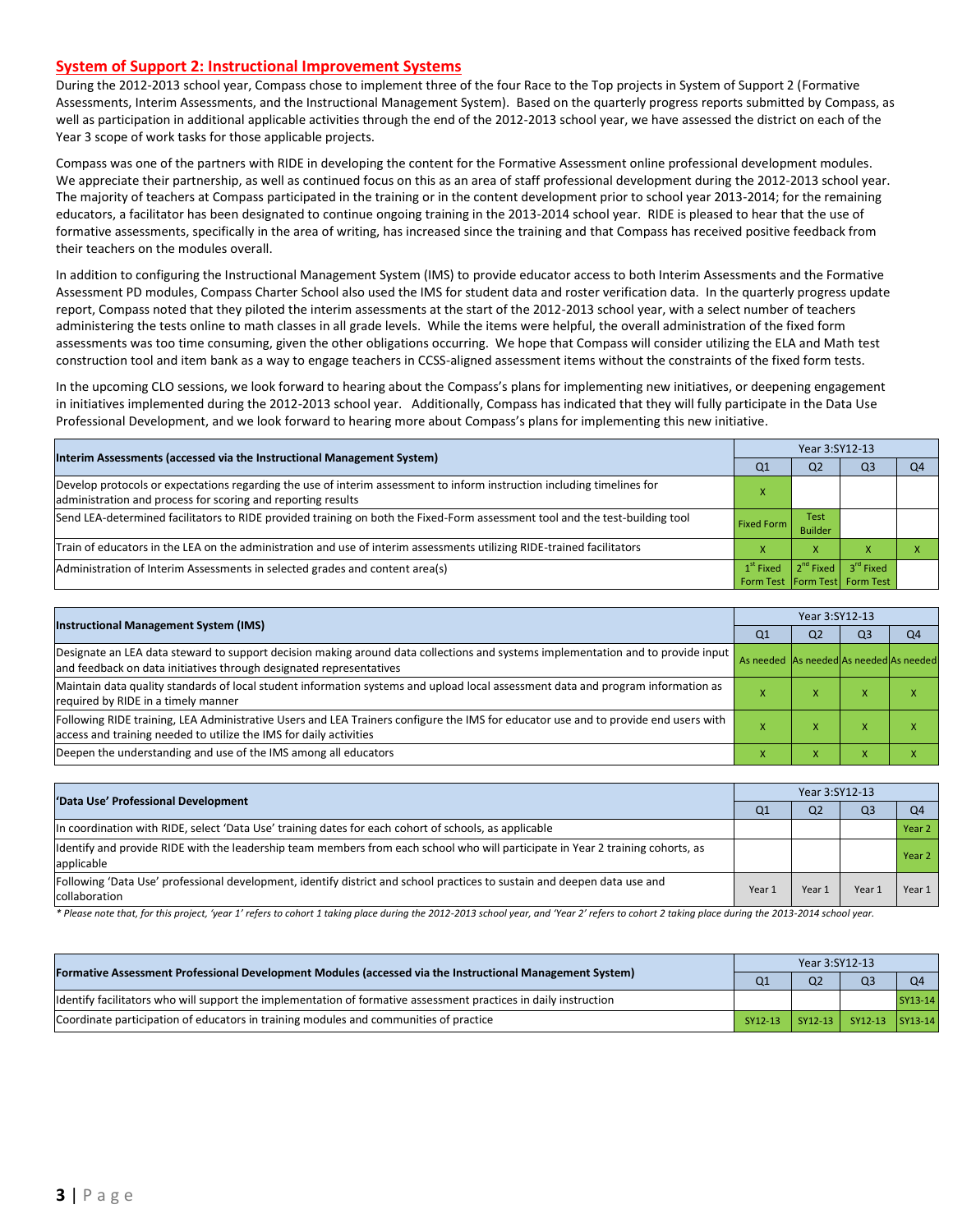#### **System of Support 2: Instructional Improvement Systems**

During the 2012-2013 school year, Compass chose to implement three of the four Race to the Top projects in System of Support 2 (Formative Assessments, Interim Assessments, and the Instructional Management System). Based on the quarterly progress reports submitted by Compass, as well as participation in additional applicable activities through the end of the 2012-2013 school year, we have assessed the district on each of the Year 3 scope of work tasks for those applicable projects.

Compass was one of the partners with RIDE in developing the content for the Formative Assessment online professional development modules. We appreciate their partnership, as well as continued focus on this as an area of staff professional development during the 2012-2013 school year. The majority of teachers at Compass participated in the training or in the content development prior to school year 2013-2014; for the remaining educators, a facilitator has been designated to continue ongoing training in the 2013-2014 school year. RIDE is pleased to hear that the use of formative assessments, specifically in the area of writing, has increased since the training and that Compass has received positive feedback from their teachers on the modules overall.

In addition to configuring the Instructional Management System (IMS) to provide educator access to both Interim Assessments and the Formative Assessment PD modules, Compass Charter School also used the IMS for student data and roster verification data. In the quarterly progress update report, Compass noted that they piloted the interim assessments at the start of the 2012-2013 school year, with a select number of teachers administering the tests online to math classes in all grade levels. While the items were helpful, the overall administration of the fixed form assessments was too time consuming, given the other obligations occurring. We hope that Compass will consider utilizing the ELA and Math test construction tool and item bank as a way to engage teachers in CCSS-aligned assessment items without the constraints of the fixed form tests.

In the upcoming CLO sessions, we look forward to hearing about the Compass's plans for implementing new initiatives, or deepening engagement in initiatives implemented during the 2012-2013 school year. Additionally, Compass has indicated that they will fully participate in the Data Use Professional Development, and we look forward to hearing more about Compass's plans for implementing this new initiative.

| Interim Assessments (accessed via the Instructional Management System)                                                                                                                  | Year 3:SY12-13    |                                      |                                                            |    |  |  |
|-----------------------------------------------------------------------------------------------------------------------------------------------------------------------------------------|-------------------|--------------------------------------|------------------------------------------------------------|----|--|--|
|                                                                                                                                                                                         | Q1                | Q <sub>2</sub>                       | Q3                                                         | Q4 |  |  |
| Develop protocols or expectations regarding the use of interim assessment to inform instruction including timelines for<br>administration and process for scoring and reporting results |                   |                                      |                                                            |    |  |  |
| Send LEA-determined facilitators to RIDE provided training on both the Fixed-Form assessment tool and the test-building tool                                                            | <b>Fixed Form</b> | <b>Test</b><br><b>Builder</b>        |                                                            |    |  |  |
| Train of educators in the LEA on the administration and use of interim assessments utilizing RIDE-trained facilitators                                                                  |                   | X                                    |                                                            |    |  |  |
| Administration of Interim Assessments in selected grades and content area(s)                                                                                                            | $1st$ Fixed       | $\blacksquare$ 2 <sup>nd</sup> Fixed | 3 <sup>rd</sup> Fixed<br>Form Test   Form Test   Form Test |    |  |  |

| <b>Instructional Management System (IMS)</b>                                                                                                                                                              |                                         | Year 3:SY12-13 |                |                |  |  |  |
|-----------------------------------------------------------------------------------------------------------------------------------------------------------------------------------------------------------|-----------------------------------------|----------------|----------------|----------------|--|--|--|
|                                                                                                                                                                                                           | Q <sub>1</sub>                          | Q <sub>2</sub> | Q <sub>3</sub> | Q <sub>4</sub> |  |  |  |
| Designate an LEA data steward to support decision making around data collections and systems implementation and to provide input<br>and feedback on data initiatives through designated representatives   | As needed As needed As needed As needed |                |                |                |  |  |  |
| Maintain data quality standards of local student information systems and upload local assessment data and program information as<br>required by RIDE in a timely manner                                   |                                         |                | ⋏              | ↗              |  |  |  |
| Following RIDE training, LEA Administrative Users and LEA Trainers configure the IMS for educator use and to provide end users with<br>access and training needed to utilize the IMS for daily activities |                                         |                | ж              | ↗              |  |  |  |
| Deepen the understanding and use of the IMS among all educators                                                                                                                                           | $\lambda$                               |                |                |                |  |  |  |

| 'Data Use' Professional Development                                                                                                           | Year 3:SY12-13 |                |                |                |  |  |
|-----------------------------------------------------------------------------------------------------------------------------------------------|----------------|----------------|----------------|----------------|--|--|
|                                                                                                                                               | Q1             | Q <sub>2</sub> | Q <sub>3</sub> | O <sub>4</sub> |  |  |
| In coordination with RIDE, select 'Data Use' training dates for each cohort of schools, as applicable                                         |                |                |                | Year 2         |  |  |
| Identify and provide RIDE with the leadership team members from each school who will participate in Year 2 training cohorts, as<br>applicable |                |                |                | Year 2         |  |  |
| Following 'Data Use' professional development, identify district and school practices to sustain and deepen data use and<br>collaboration     | Year 1         | Year 1         | Year           | Year $1$       |  |  |

\* Please note that, for this project, 'year 1' refers to cohort 1 taking place during the 2012-2013 school year, and 'Year 2' refers to cohort 2 taking place during the 2013-2014 school year.

| [Formative Assessment Professional Development Modules (accessed via the Instructional Management System)        | Year 3:SY12-13 |                |                         |                |  |
|------------------------------------------------------------------------------------------------------------------|----------------|----------------|-------------------------|----------------|--|
|                                                                                                                  | Q <sub>1</sub> | Q <sub>2</sub> | Q <sub>3</sub>          | Q <sub>4</sub> |  |
| Identify facilitators who will support the implementation of formative assessment practices in daily instruction |                |                |                         | SY13-14        |  |
| Coordinate participation of educators in training modules and communities of practice                            | SY12-13        |                | SY12-13 SY12-13 SY13-14 |                |  |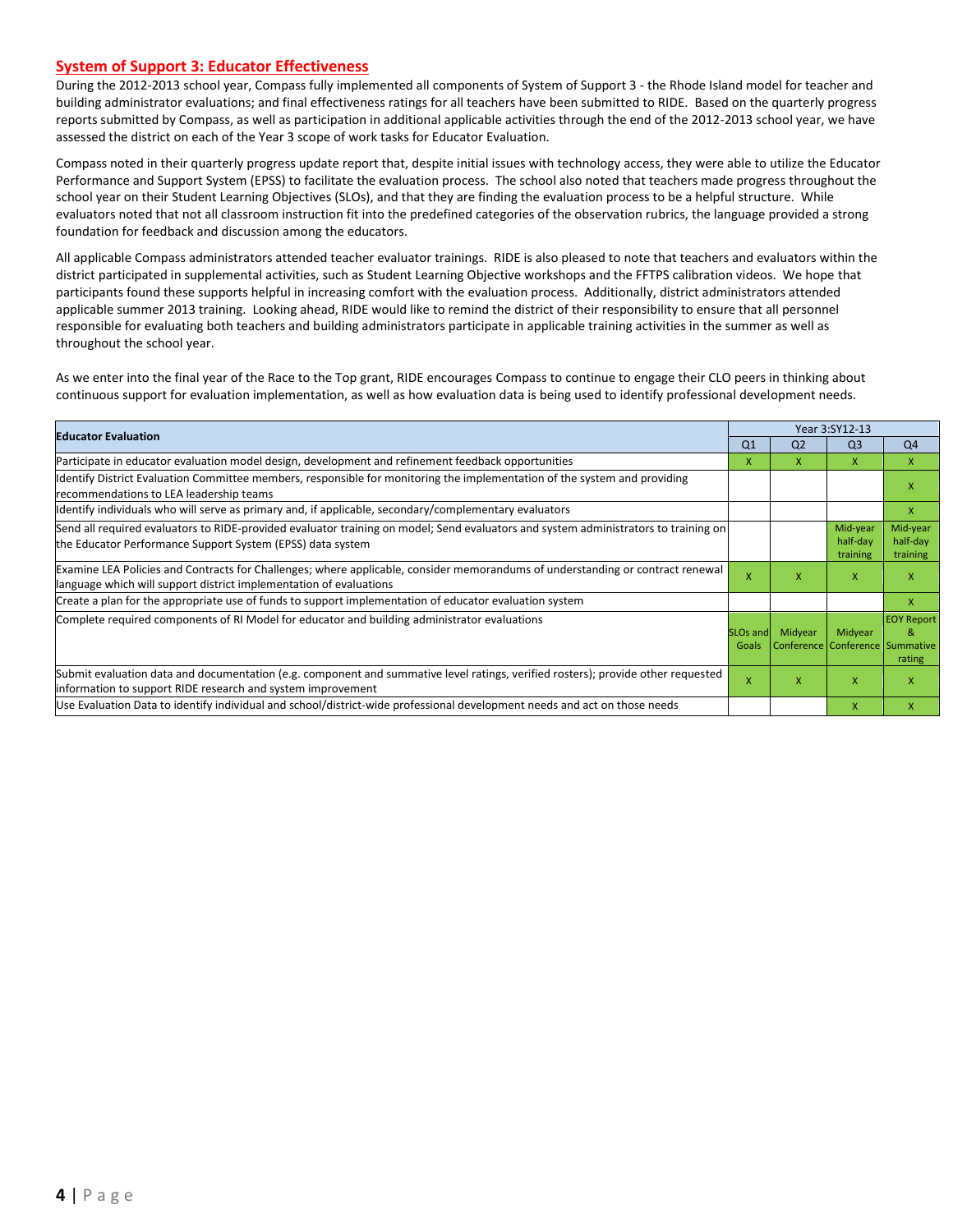#### **System of Support 3: Educator Effectiveness**

During the 2012-2013 school year, Compass fully implemented all components of System of Support 3 - the Rhode Island model for teacher and building administrator evaluations; and final effectiveness ratings for all teachers have been submitted to RIDE. Based on the quarterly progress reports submitted by Compass, as well as participation in additional applicable activities through the end of the 2012-2013 school year, we have assessed the district on each of the Year 3 scope of work tasks for Educator Evaluation.

Compass noted in their quarterly progress update report that, despite initial issues with technology access, they were able to utilize the Educator Performance and Support System (EPSS) to facilitate the evaluation process. The school also noted that teachers made progress throughout the school year on their Student Learning Objectives (SLOs), and that they are finding the evaluation process to be a helpful structure. While evaluators noted that not all classroom instruction fit into the predefined categories of the observation rubrics, the language provided a strong foundation for feedback and discussion among the educators.

All applicable Compass administrators attended teacher evaluator trainings. RIDE is also pleased to note that teachers and evaluators within the district participated in supplemental activities, such as Student Learning Objective workshops and the FFTPS calibration videos. We hope that participants found these supports helpful in increasing comfort with the evaluation process. Additionally, district administrators attended applicable summer 2013 training. Looking ahead, RIDE would like to remind the district of their responsibility to ensure that all personnel responsible for evaluating both teachers and building administrators participate in applicable training activities in the summer as well as throughout the school year.

As we enter into the final year of the Race to the Top grant, RIDE encourages Compass to continue to engage their CLO peers in thinking about continuous support for evaluation implementation, as well as how evaluation data is being used to identify professional development needs.

|                                                                                                                                                                                                      |                               |                | Year 3:SY12-13                             |                                  |
|------------------------------------------------------------------------------------------------------------------------------------------------------------------------------------------------------|-------------------------------|----------------|--------------------------------------------|----------------------------------|
| <b>Educator Evaluation</b>                                                                                                                                                                           | Q <sub>1</sub>                | Q <sub>2</sub> | Q <sub>3</sub>                             | Q <sub>4</sub>                   |
| Participate in educator evaluation model design, development and refinement feedback opportunities                                                                                                   | X                             | X              | X.                                         | $\mathsf{x}$                     |
| Identify District Evaluation Committee members, responsible for monitoring the implementation of the system and providing<br>recommendations to LEA leadership teams                                 |                               |                |                                            | X                                |
| Identify individuals who will serve as primary and, if applicable, secondary/complementary evaluators                                                                                                |                               |                |                                            | X                                |
| Send all required evaluators to RIDE-provided evaluator training on model; Send evaluators and system administrators to training on<br>the Educator Performance Support System (EPSS) data system    |                               |                | Mid-year<br>half-day<br>training           | Mid-year<br>half-day<br>training |
| Examine LEA Policies and Contracts for Challenges; where applicable, consider memorandums of understanding or contract renewal<br>language which will support district implementation of evaluations | X                             | X              | X                                          | $\mathsf{x}$                     |
| Create a plan for the appropriate use of funds to support implementation of educator evaluation system                                                                                               |                               |                |                                            | X                                |
| Complete required components of RI Model for educator and building administrator evaluations                                                                                                         | SLO <sub>s</sub> and<br>Goals | Midyear        | Midyear<br>Conference Conference Summative | <b>EOY Report</b><br>&<br>rating |
| Submit evaluation data and documentation (e.g. component and summative level ratings, verified rosters); provide other requested<br>information to support RIDE research and system improvement      | $\boldsymbol{\mathsf{x}}$     | X              | $\mathsf{x}$                               | $\mathsf{x}$                     |
| Use Evaluation Data to identify individual and school/district-wide professional development needs and act on those needs                                                                            |                               |                | $\mathsf{x}$                               | $\mathsf{X}$                     |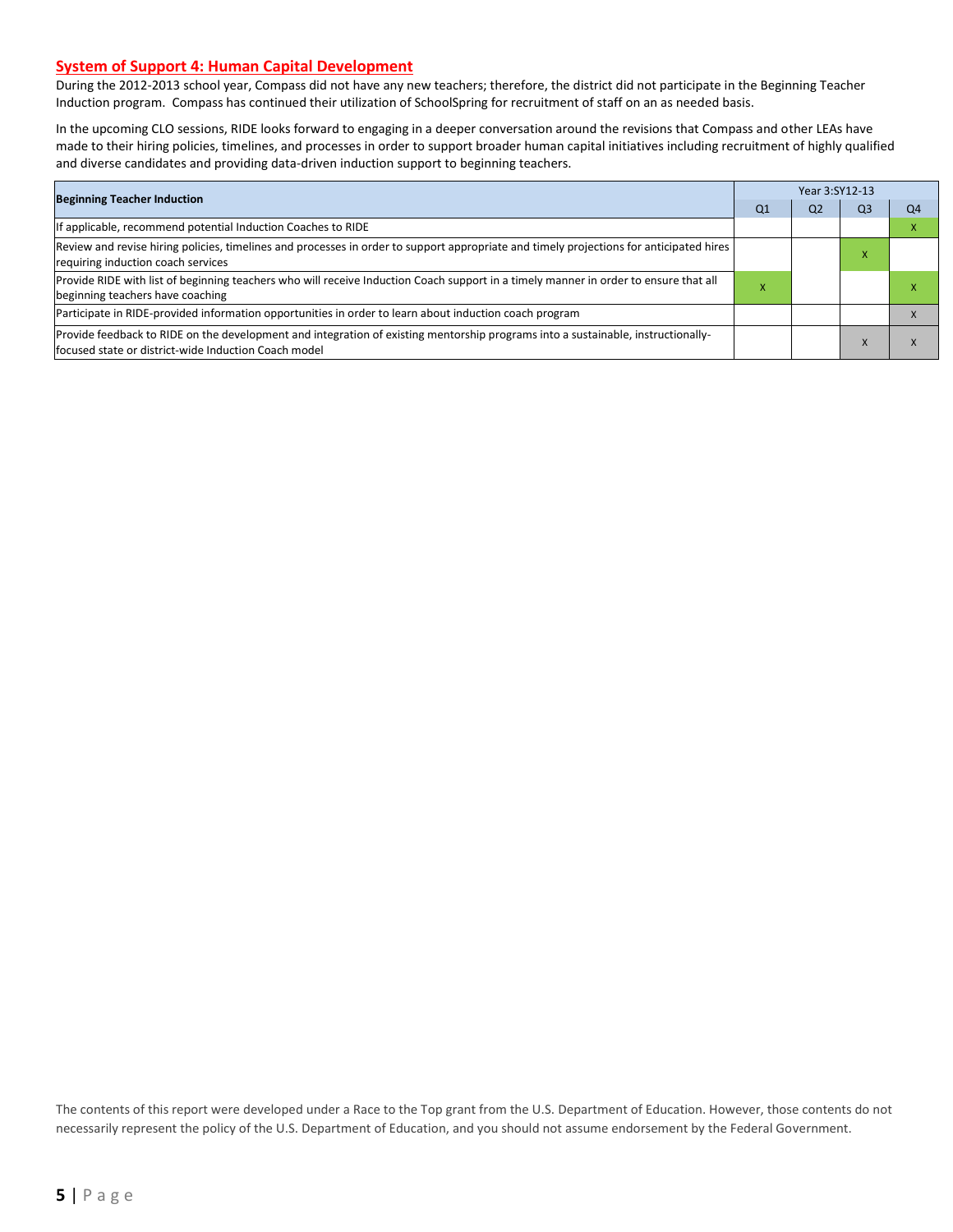#### **System of Support 4: Human Capital Development**

During the 2012-2013 school year, Compass did not have any new teachers; therefore, the district did not participate in the Beginning Teacher Induction program. Compass has continued their utilization of SchoolSpring for recruitment of staff on an as needed basis.

In the upcoming CLO sessions, RIDE looks forward to engaging in a deeper conversation around the revisions that Compass and other LEAs have made to their hiring policies, timelines, and processes in order to support broader human capital initiatives including recruitment of highly qualified and diverse candidates and providing data-driven induction support to beginning teachers.

| <b>Beginning Teacher Induction</b>                                                                                                                                                        |           |                |                |    |
|-------------------------------------------------------------------------------------------------------------------------------------------------------------------------------------------|-----------|----------------|----------------|----|
|                                                                                                                                                                                           | Q1        | Q <sub>2</sub> | Q <sub>3</sub> | Q4 |
| f applicable, recommend potential Induction Coaches to RIDE                                                                                                                               |           |                |                |    |
| Review and revise hiring policies, timelines and processes in order to support appropriate and timely projections for anticipated hires<br>requiring induction coach services             |           |                | ⋏              |    |
| Provide RIDE with list of beginning teachers who will receive Induction Coach support in a timely manner in order to ensure that all<br>beginning teachers have coaching                  | $\lambda$ |                |                |    |
| Participate in RIDE-provided information opportunities in order to learn about induction coach program                                                                                    |           |                |                |    |
| Provide feedback to RIDE on the development and integration of existing mentorship programs into a sustainable, instructionally-<br>lfocused state or district-wide Induction Coach model |           |                |                |    |

The contents of this report were developed under a Race to the Top grant from the U.S. Department of Education. However, those contents do not necessarily represent the policy of the U.S. Department of Education, and you should not assume endorsement by the Federal Government.